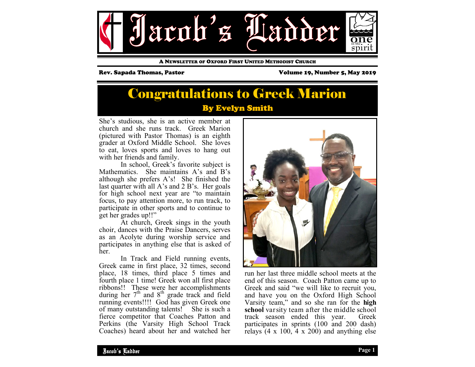

A NEWSLETTER OF OXFORD FIRST UNITED METHODIST CHURCH

Rev. Sapada Thomas, Pastor Volume 19, Number 5, May 2019

## By Evelyn Smith Congratulations to Greek Marion

She's studious, she is an active member at church and she runs track. Greek Marion (pictured with Pastor Thomas) is an eighth grader at Oxford Middle School. She loves to eat, loves sports and loves to hang out with her friends and family.

 In school, Greek's favorite subject is Mathematics. She maintains A's and B's although she prefers A's! She finished the last quarter with all A's and 2 B's. Her goals for high school next year are "to maintain focus, to pay attention more, to run track, to participate in other sports and to continue to get her grades up!!"

 At church, Greek sings in the youth choir, dances with the Praise Dancers, serves as an Acolyte during worship service and participates in anything else that is asked of her.

 In Track and Field running events, Greek came in first place, 32 times, second place, 18 times, third place 5 times and fourth place 1 time! Greek won all first place ribbons!! These were her accomplishments during her  $7<sup>th</sup>$  and  $8<sup>th</sup>$  grade track and field running events!!!! God has given Greek one of many outstanding talents! She is such a fierce competitor that Coaches Patton and Perkins (the Varsity High School Track Coaches) heard about her and watched her



run her last three middle school meets at the end of this season. Coach Patton came up to Greek and said "we will like to recruit you, and have you on the Oxford High School Varsity team," and so she ran for the **high school** varsity team after the middle school track season ended this year. Greek participates in sprints (100 and 200 dash) relays  $(4 \times 100, 4 \times 200)$  and anything else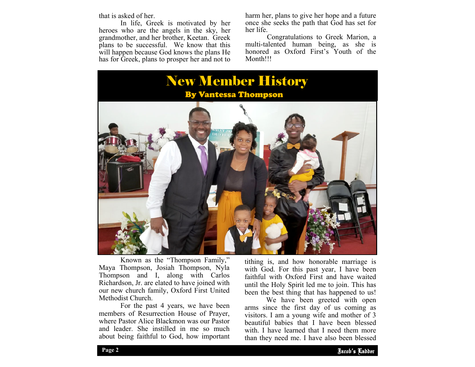that is asked of her.

 In life, Greek is motivated by her heroes who are the angels in the sky, her grandmother, and her brother, Keetan. Greek plans to be successful. We know that this will happen because God knows the plans He has for Greek, plans to prosper her and not to

harm her, plans to give her hope and a future once she seeks the path that God has set for her life.

 Congratulations to Greek Marion, a multi-talented human being, as she is honored as Oxford First's Youth of the Month!!!



 Known as the "Thompson Family," Maya Thompson, Josiah Thompson, Nyla Thompson and I, along with Carlos Richardson, Jr. are elated to have joined with our new church family, Oxford First United Methodist Church.

 For the past 4 years, we have been members of Resurrection House of Prayer, where Pastor Alice Blackmon was our Pastor and leader. She instilled in me so much about being faithful to God, how important

tithing is, and how honorable marriage is with God. For this past year, I have been faithful with Oxford First and have waited until the Holy Spirit led me to join. This has been the best thing that has happened to us!

visitors. I am a young wife and mother of 3 We have been greeted with open arms since the first day of us coming as beautiful babies that I have been blessed with. I have learned that I need them more than they need me. I have also been blessed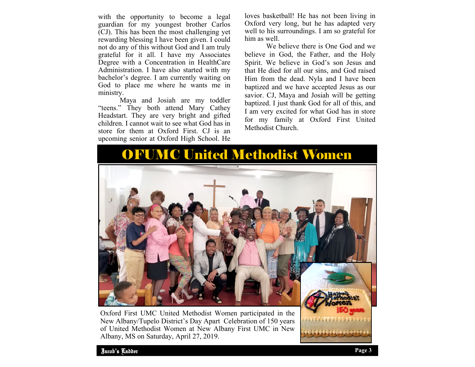with the opportunity to become a legal guardian for my youngest brother Carlos (CJ). This has been the most challenging yet rewarding blessing I have been given. I could not do any of this without God and I am truly grateful for it all. I have my Associates Degree with a Concentration in HealthCare Administration. I have also started with my bachelor's degree. I am currently waiting on God to place me where he wants me in ministry.

 Maya and Josiah are my toddler "teens." They both attend Mary Cathey Headstart. They are very bright and gifted children. I cannot wait to see what God has in store for them at Oxford First. CJ is an upcoming senior at Oxford High School. He

loves basketball! He has not been living in Oxford very long, but he has adapted very well to his surroundings. I am so grateful for him as well.

 We believe there is One God and we believe in God, the Father, and the Holy Spirit. We believe in God's son Jesus and that He died for all our sins, and God raised Him from the dead. Nyla and I have been baptized and we have accepted Jesus as our savior. CJ, Maya and Josiah will be getting baptized. I just thank God for all of this, and I am very excited for what God has in store for my family at Oxford First United Methodist Church.

# OFUMC United Methodist Women



Oxford First UMC United Methodist Women participated in the New Albany/Tupelo District's Day Apart Celebration of 150 years of United Methodist Women at New Albany First UMC in New Albany, MS on Saturday, April 27, 2019.